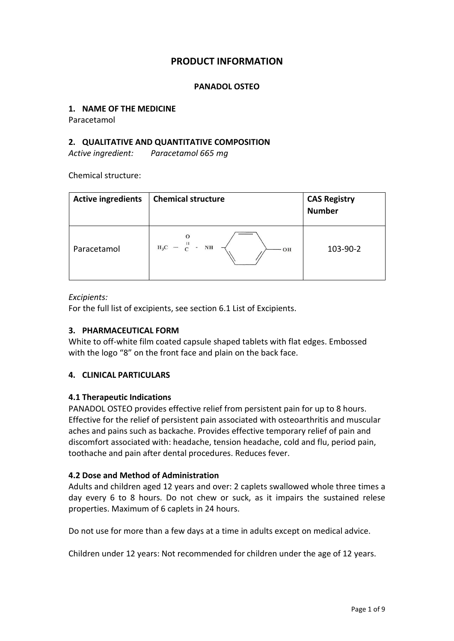# **PRODUCT INFORMATION**

#### **PANADOL OSTEO**

#### **1. NAME OF THE MEDICINE**

Paracetamol

#### **2. QUALITATIVE AND QUANTITATIVE COMPOSITION**

*Active ingredient: Paracetamol 665 mg*

Chemical structure:

| <b>Active ingredients</b> | <b>Chemical structure</b>                                 | <b>CAS Registry</b><br><b>Number</b> |
|---------------------------|-----------------------------------------------------------|--------------------------------------|
| Paracetamol               | $H_3C - \frac{11}{C}$<br>$\bar{\pi}$<br>$_{\rm NH}$<br>OH | 103-90-2                             |

#### *Excipients:*

For the full list of excipients, see section 6.1 List of Excipients.

#### **3. PHARMACEUTICAL FORM**

White to off-white film coated capsule shaped tablets with flat edges. Embossed with the logo "8" on the front face and plain on the back face.

#### **4. CLINICAL PARTICULARS**

#### **4.1 Therapeutic Indications**

PANADOL OSTEO provides effective relief from persistent pain for up to 8 hours. Effective for the relief of persistent pain associated with osteoarthritis and muscular aches and pains such as backache. Provides effective temporary relief of pain and discomfort associated with: headache, tension headache, cold and flu, period pain, toothache and pain after dental procedures. Reduces fever.

#### **4.2 Dose and Method of Administration**

Adults and children aged 12 years and over: 2 caplets swallowed whole three times a day every 6 to 8 hours. Do not chew or suck, as it impairs the sustained relese properties. Maximum of 6 caplets in 24 hours.

Do not use for more than a few days at a time in adults except on medical advice.

Children under 12 years: Not recommended for children under the age of 12 years.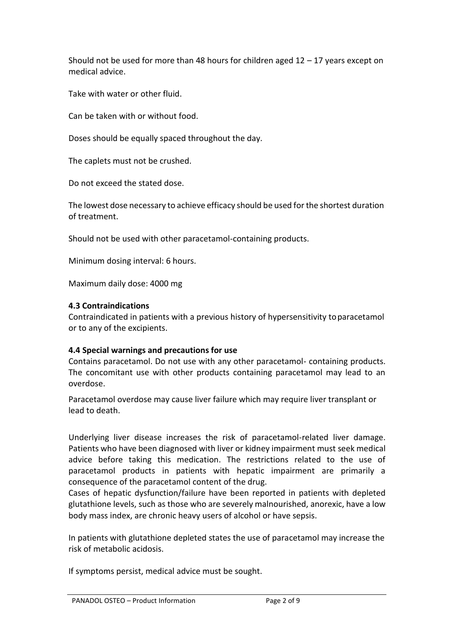Should not be used for more than 48 hours for children aged  $12 - 17$  years except on medical advice.

Take with water or other fluid.

Can be taken with or without food.

Doses should be equally spaced throughout the day.

The caplets must not be crushed.

Do not exceed the stated dose.

The lowest dose necessary to achieve efficacy should be used for the shortest duration of treatment.

Should not be used with other paracetamol-containing products.

Minimum dosing interval: 6 hours.

Maximum daily dose: 4000 mg

#### **4.3 Contraindications**

Contraindicated in patients with a previous history of hypersensitivity toparacetamol or to any of the excipients.

### **4.4 Special warnings and precautions for use**

Contains paracetamol. Do not use with any other paracetamol- containing products. The concomitant use with other products containing paracetamol may lead to an overdose.

Paracetamol overdose may cause liver failure which may require liver transplant or lead to death.

Underlying liver disease increases the risk of paracetamol-related liver damage. Patients who have been diagnosed with liver or kidney impairment must seek medical advice before taking this medication. The restrictions related to the use of paracetamol products in patients with hepatic impairment are primarily a consequence of the paracetamol content of the drug.

Cases of hepatic dysfunction/failure have been reported in patients with depleted glutathione levels, such as those who are severely malnourished, anorexic, have a low body mass index, are chronic heavy users of alcohol or have sepsis.

In patients with glutathione depleted states the use of paracetamol may increase the risk of metabolic acidosis.

If symptoms persist, medical advice must be sought.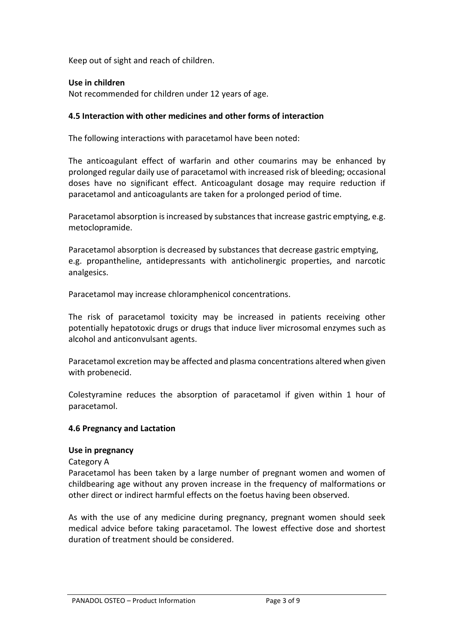Keep out of sight and reach of children.

## **Use in children**

Not recommended for children under 12 years of age.

## **4.5 Interaction with other medicines and other forms of interaction**

The following interactions with paracetamol have been noted:

The anticoagulant effect of warfarin and other coumarins may be enhanced by prolonged regular daily use of paracetamol with increased risk of bleeding; occasional doses have no significant effect. Anticoagulant dosage may require reduction if paracetamol and anticoagulants are taken for a prolonged period of time.

Paracetamol absorption is increased by substances that increase gastric emptying, e.g. metoclopramide.

Paracetamol absorption is decreased by substances that decrease gastric emptying, e.g. propantheline, antidepressants with anticholinergic properties, and narcotic analgesics.

Paracetamol may increase chloramphenicol concentrations.

The risk of paracetamol toxicity may be increased in patients receiving other potentially hepatotoxic drugs or drugs that induce liver microsomal enzymes such as alcohol and anticonvulsant agents.

Paracetamol excretion may be affected and plasma concentrations altered when given with probenecid.

Colestyramine reduces the absorption of paracetamol if given within 1 hour of paracetamol.

### **4.6 Pregnancy and Lactation**

#### **Use in pregnancy**

Category A

Paracetamol has been taken by a large number of pregnant women and women of childbearing age without any proven increase in the frequency of malformations or other direct or indirect harmful effects on the foetus having been observed.

As with the use of any medicine during pregnancy, pregnant women should seek medical advice before taking paracetamol. The lowest effective dose and shortest duration of treatment should be considered.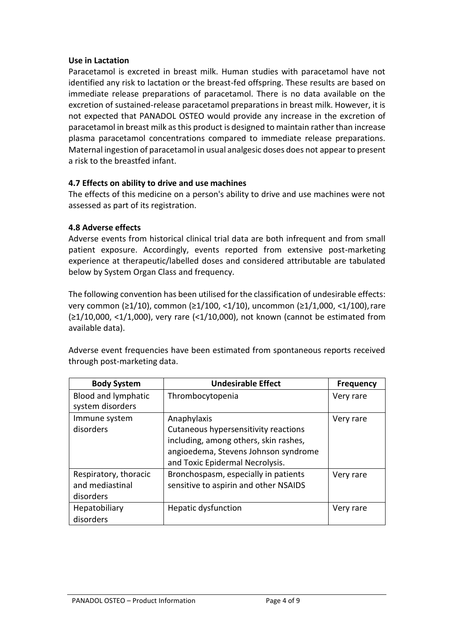#### **Use in Lactation**

Paracetamol is excreted in breast milk. Human studies with paracetamol have not identified any risk to lactation or the breast-fed offspring. These results are based on immediate release preparations of paracetamol. There is no data available on the excretion of sustained-release paracetamol preparations in breast milk. However, it is not expected that PANADOL OSTEO would provide any increase in the excretion of paracetamol in breast milk asthis product is designed to maintain rather than increase plasma paracetamol concentrations compared to immediate release preparations. Maternal ingestion of paracetamol in usual analgesic doses does not appear to present a risk to the breastfed infant.

### **4.7 Effects on ability to drive and use machines**

The effects of this medicine on a person's ability to drive and use machines were not assessed as part of its registration.

### **4.8 Adverse effects**

Adverse events from historical clinical trial data are both infrequent and from small patient exposure. Accordingly, events reported from extensive post-marketing experience at therapeutic/labelled doses and considered attributable are tabulated below by System Organ Class and frequency.

The following convention has been utilised for the classification of undesirable effects: very common (≥1/10), common (≥1/100, <1/10), uncommon (≥1/1,000, <1/100),rare (≥1/10,000, <1/1,000), very rare (<1/10,000), not known (cannot be estimated from available data).

Adverse event frequencies have been estimated from spontaneous reports received through post-marketing data.

| <b>Body System</b>                                    | <b>Undesirable Effect</b>                                                                                                                                               | <b>Frequency</b> |
|-------------------------------------------------------|-------------------------------------------------------------------------------------------------------------------------------------------------------------------------|------------------|
| Blood and lymphatic<br>system disorders               | Thrombocytopenia                                                                                                                                                        | Very rare        |
| Immune system<br>disorders                            | Anaphylaxis<br>Cutaneous hypersensitivity reactions<br>including, among others, skin rashes,<br>angioedema, Stevens Johnson syndrome<br>and Toxic Epidermal Necrolysis. | Very rare        |
| Respiratory, thoracic<br>and mediastinal<br>disorders | Bronchospasm, especially in patients<br>sensitive to aspirin and other NSAIDS                                                                                           | Very rare        |
| Hepatobiliary<br>disorders                            | Hepatic dysfunction                                                                                                                                                     | Very rare        |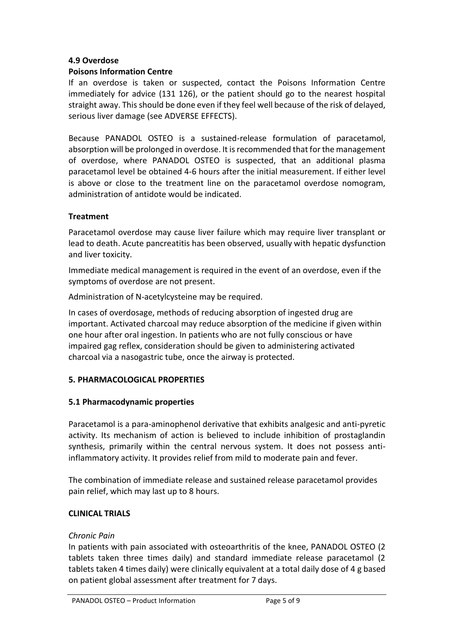## **4.9 Overdose**

## **Poisons Information Centre**

If an overdose is taken or suspected, contact the Poisons Information Centre immediately for advice (131 126), or the patient should go to the nearest hospital straight away. This should be done even if they feel well because of the risk of delayed, serious liver damage (see ADVERSE EFFECTS).

Because PANADOL OSTEO is a sustained-release formulation of paracetamol, absorption will be prolonged in overdose. It is recommended that for the management of overdose, where PANADOL OSTEO is suspected, that an additional plasma paracetamol level be obtained 4-6 hours after the initial measurement. If either level is above or close to the treatment line on the paracetamol overdose nomogram, administration of antidote would be indicated.

### **Treatment**

Paracetamol overdose may cause liver failure which may require liver transplant or lead to death. Acute pancreatitis has been observed, usually with hepatic dysfunction and liver toxicity.

Immediate medical management is required in the event of an overdose, even if the symptoms of overdose are not present.

Administration of N-acetylcysteine may be required.

In cases of overdosage, methods of reducing absorption of ingested drug are important. Activated charcoal may reduce absorption of the medicine if given within one hour after oral ingestion. In patients who are not fully conscious or have impaired gag reflex, consideration should be given to administering activated charcoal via a nasogastric tube, once the airway is protected.

# **5. PHARMACOLOGICAL PROPERTIES**

# **5.1 Pharmacodynamic properties**

Paracetamol is a para-aminophenol derivative that exhibits analgesic and anti-pyretic activity. Its mechanism of action is believed to include inhibition of prostaglandin synthesis, primarily within the central nervous system. It does not possess antiinflammatory activity. It provides relief from mild to moderate pain and fever.

The combination of immediate release and sustained release paracetamol provides pain relief, which may last up to 8 hours.

### **CLINICAL TRIALS**

### *Chronic Pain*

In patients with pain associated with osteoarthritis of the knee, PANADOL OSTEO (2 tablets taken three times daily) and standard immediate release paracetamol (2 tablets taken 4 times daily) were clinically equivalent at a total daily dose of 4 g based on patient global assessment after treatment for 7 days.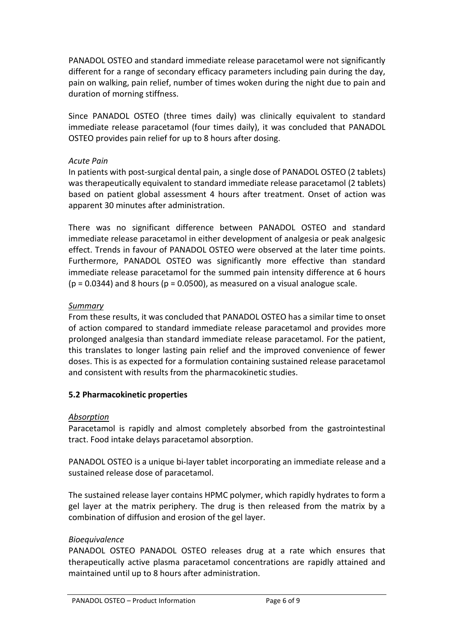PANADOL OSTEO and standard immediate release paracetamol were not significantly different for a range of secondary efficacy parameters including pain during the day, pain on walking, pain relief, number of times woken during the night due to pain and duration of morning stiffness.

Since PANADOL OSTEO (three times daily) was clinically equivalent to standard immediate release paracetamol (four times daily), it was concluded that PANADOL OSTEO provides pain relief for up to 8 hours after dosing.

## *Acute Pain*

In patients with post-surgical dental pain, a single dose of PANADOL OSTEO (2 tablets) was therapeutically equivalent to standard immediate release paracetamol (2 tablets) based on patient global assessment 4 hours after treatment. Onset of action was apparent 30 minutes after administration.

There was no significant difference between PANADOL OSTEO and standard immediate release paracetamol in either development of analgesia or peak analgesic effect. Trends in favour of PANADOL OSTEO were observed at the later time points. Furthermore, PANADOL OSTEO was significantly more effective than standard immediate release paracetamol for the summed pain intensity difference at 6 hours  $(p = 0.0344)$  and 8 hours  $(p = 0.0500)$ , as measured on a visual analogue scale.

## *Summary*

From these results, it was concluded that PANADOL OSTEO has a similar time to onset of action compared to standard immediate release paracetamol and provides more prolonged analgesia than standard immediate release paracetamol. For the patient, this translates to longer lasting pain relief and the improved convenience of fewer doses. This is as expected for a formulation containing sustained release paracetamol and consistent with results from the pharmacokinetic studies.

# **5.2 Pharmacokinetic properties**

### *Absorption*

Paracetamol is rapidly and almost completely absorbed from the gastrointestinal tract. Food intake delays paracetamol absorption.

PANADOL OSTEO is a unique bi-layer tablet incorporating an immediate release and a sustained release dose of paracetamol.

The sustained release layer contains HPMC polymer, which rapidly hydrates to form a gel layer at the matrix periphery. The drug is then released from the matrix by a combination of diffusion and erosion of the gel layer.

### *Bioequivalence*

PANADOL OSTEO PANADOL OSTEO releases drug at a rate which ensures that therapeutically active plasma paracetamol concentrations are rapidly attained and maintained until up to 8 hours after administration.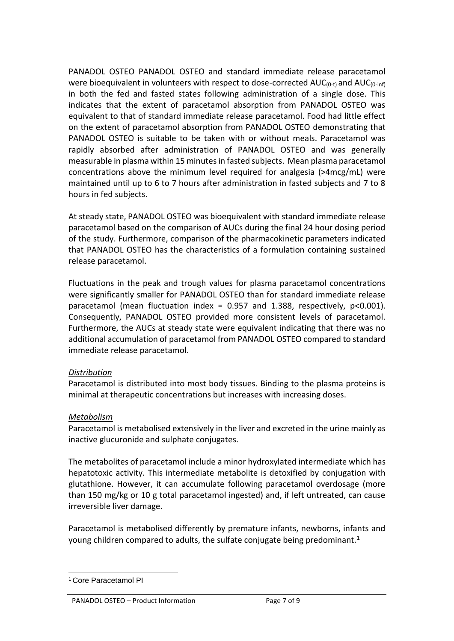PANADOL OSTEO PANADOL OSTEO and standard immediate release paracetamol were bioequivalent in volunteers with respect to dose-corrected  $AUC_{(0-i)}$  and  $AUC_{(0-in\hat{b})}$ in both the fed and fasted states following administration of a single dose. This indicates that the extent of paracetamol absorption from PANADOL OSTEO was equivalent to that of standard immediate release paracetamol. Food had little effect on the extent of paracetamol absorption from PANADOL OSTEO demonstrating that PANADOL OSTEO is suitable to be taken with or without meals. Paracetamol was rapidly absorbed after administration of PANADOL OSTEO and was generally measurable in plasma within 15 minutesin fasted subjects. Mean plasma paracetamol concentrations above the minimum level required for analgesia (>4mcg/mL) were maintained until up to 6 to 7 hours after administration in fasted subjects and 7 to 8 hours in fed subjects.

At steady state, PANADOL OSTEO was bioequivalent with standard immediate release paracetamol based on the comparison of AUCs during the final 24 hour dosing period of the study. Furthermore, comparison of the pharmacokinetic parameters indicated that PANADOL OSTEO has the characteristics of a formulation containing sustained release paracetamol.

Fluctuations in the peak and trough values for plasma paracetamol concentrations were significantly smaller for PANADOL OSTEO than for standard immediate release paracetamol (mean fluctuation index =  $0.957$  and 1.388, respectively, p<0.001). Consequently, PANADOL OSTEO provided more consistent levels of paracetamol. Furthermore, the AUCs at steady state were equivalent indicating that there was no additional accumulation of paracetamol from PANADOL OSTEO compared to standard immediate release paracetamol.

# *Distribution*

Paracetamol is distributed into most body tissues. Binding to the plasma proteins is minimal at therapeutic concentrations but increases with increasing doses.

### *Metabolism*

Paracetamol is metabolised extensively in the liver and excreted in the urine mainly as inactive glucuronide and sulphate conjugates.

The metabolites of paracetamol include a minor hydroxylated intermediate which has hepatotoxic activity. This intermediate metabolite is detoxified by conjugation with glutathione. However, it can accumulate following paracetamol overdosage (more than 150 mg/kg or 10 g total paracetamol ingested) and, if left untreated, can cause irreversible liver damage.

Paracetamol is metabolised differently by premature infants, newborns, infants and young children compared to adults, the sulfate conjugate being predominant.<sup>[1](#page-6-0)</sup>

<span id="page-6-0"></span><sup>1</sup> Core Paracetamol PI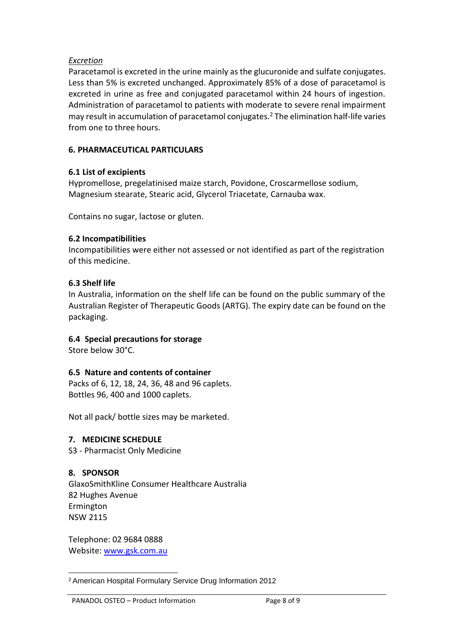### *Excretion*

Paracetamol is excreted in the urine mainly asthe glucuronide and sulfate conjugates. Less than 5% is excreted unchanged. Approximately 85% of a dose of paracetamol is excreted in urine as free and conjugated paracetamol within 24 hours of ingestion. Administration of paracetamol to patients with moderate to severe renal impairment may result in accumulation of paracetamol conjugates.[2](#page-7-0) The elimination half-life varies from one to three hours.

### **6. PHARMACEUTICAL PARTICULARS**

### **6.1 List of excipients**

Hypromellose, pregelatinised maize starch, Povidone, Croscarmellose sodium, Magnesium stearate, Stearic acid, Glycerol Triacetate, Carnauba wax.

Contains no sugar, lactose or gluten.

#### **6.2 Incompatibilities**

Incompatibilities were either not assessed or not identified as part of the registration of this medicine.

### **6.3 Shelf life**

In Australia, information on the shelf life can be found on the public summary of the Australian Register of Therapeutic Goods (ARTG). The expiry date can be found on the packaging.

### **6.4 Special precautions for storage**

Store below 30°C.

### **6.5 Nature and contents of container**

Packs of 6, 12, 18, 24, 36, 48 and 96 caplets. Bottles 96, 400 and 1000 caplets.

Not all pack/ bottle sizes may be marketed.

#### **7. MEDICINE SCHEDULE**

S3 - Pharmacist Only Medicine

### **8. SPONSOR**

GlaxoSmithKline Consumer Healthcare Australia 82 Hughes Avenue Ermington NSW 2115

Telephone: 02 9684 0888 Website: [www.gsk.com.au](http://www.gsk.com.au/)

<span id="page-7-0"></span><sup>2</sup> American Hospital Formulary Service Drug Information 2012